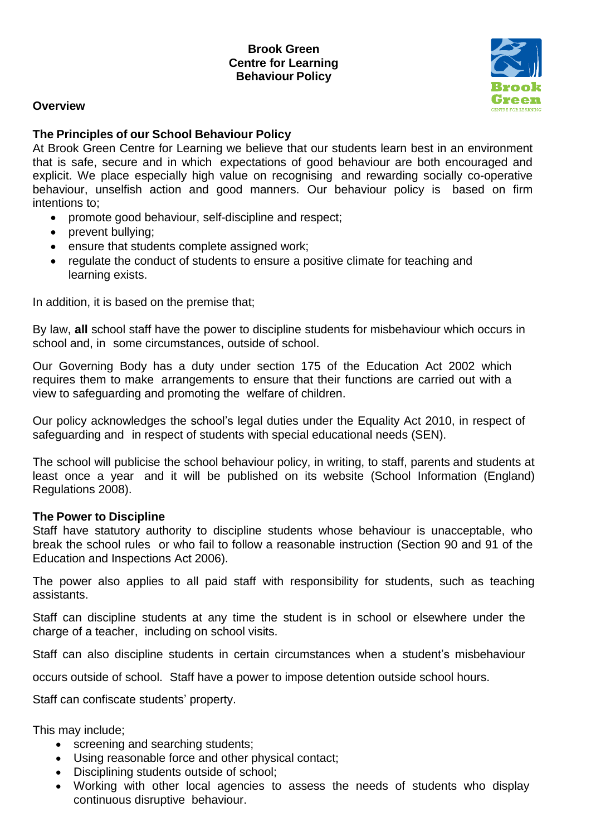#### **Overview**



#### **The Principles of our School Behaviour Policy**

At Brook Green Centre for Learning we believe that our students learn best in an environment that is safe, secure and in which expectations of good behaviour are both encouraged and explicit. We place especially high value on recognising and rewarding socially co-operative behaviour, unselfish action and good manners. Our behaviour policy is based on firm intentions to;

- promote good behaviour, self-discipline and respect;
- prevent bullying;
- ensure that students complete assigned work;
- regulate the conduct of students to ensure a positive climate for teaching and learning exists.

In addition, it is based on the premise that;

By law, **all** school staff have the power to discipline students for misbehaviour which occurs in school and, in some circumstances, outside of school.

Our Governing Body has a duty under section 175 of the Education Act 2002 which requires them to make arrangements to ensure that their functions are carried out with a view to safeguarding and promoting the welfare of children.

Our policy acknowledges the school's legal duties under the Equality Act 2010, in respect of safeguarding and in respect of students with special educational needs (SEN).

The school will publicise the school behaviour policy, in writing, to staff, parents and students at least once a year and it will be published on its website (School Information (England) Regulations 2008).

#### **The Power to Discipline**

Staff have statutory authority to discipline students whose behaviour is unacceptable, who break the school rules or who fail to follow a reasonable instruction (Section 90 and 91 of the Education and Inspections Act 2006).

The power also applies to all paid staff with responsibility for students, such as teaching assistants.

Staff can discipline students at any time the student is in school or elsewhere under the charge of a teacher, including on school visits.

Staff can also discipline students in certain circumstances when a student's misbehaviour

occurs outside of school. Staff have a power to impose detention outside school hours.

Staff can confiscate students' property.

This may include;

- screening and searching students;
- Using reasonable force and other physical contact;
- Disciplining students outside of school;
- Working with other local agencies to assess the needs of students who display continuous disruptive behaviour.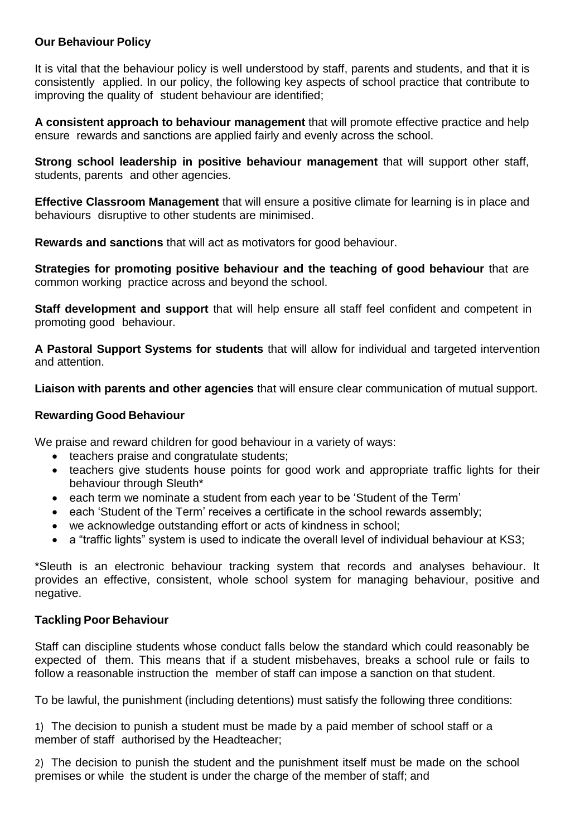### **Our Behaviour Policy**

It is vital that the behaviour policy is well understood by staff, parents and students, and that it is consistently applied. In our policy, the following key aspects of school practice that contribute to improving the quality of student behaviour are identified;

**A consistent approach to behaviour management** that will promote effective practice and help ensure rewards and sanctions are applied fairly and evenly across the school.

**Strong school leadership in positive behaviour management** that will support other staff, students, parents and other agencies.

**Effective Classroom Management** that will ensure a positive climate for learning is in place and behaviours disruptive to other students are minimised.

**Rewards and sanctions** that will act as motivators for good behaviour.

**Strategies for promoting positive behaviour and the teaching of good behaviour** that are common working practice across and beyond the school.

**Staff development and support** that will help ensure all staff feel confident and competent in promoting good behaviour.

**A Pastoral Support Systems for students** that will allow for individual and targeted intervention and attention.

**Liaison with parents and other agencies** that will ensure clear communication of mutual support.

### **Rewarding Good Behaviour**

We praise and reward children for good behaviour in a variety of ways:

- teachers praise and congratulate students;
- teachers give students house points for good work and appropriate traffic lights for their behaviour through Sleuth\*
- each term we nominate a student from each year to be 'Student of the Term'
- each 'Student of the Term' receives a certificate in the school rewards assembly;
- we acknowledge outstanding effort or acts of kindness in school;
- a "traffic lights" system is used to indicate the overall level of individual behaviour at KS3;

\*Sleuth is an electronic behaviour tracking system that records and analyses behaviour. It provides an effective, consistent, whole school system for managing behaviour, positive and negative.

### **Tackling Poor Behaviour**

Staff can discipline students whose conduct falls below the standard which could reasonably be expected of them. This means that if a student misbehaves, breaks a school rule or fails to follow a reasonable instruction the member of staff can impose a sanction on that student.

To be lawful, the punishment (including detentions) must satisfy the following three conditions:

1) The decision to punish a student must be made by a paid member of school staff or a member of staff authorised by the Headteacher;

2) The decision to punish the student and the punishment itself must be made on the school premises or while the student is under the charge of the member of staff; and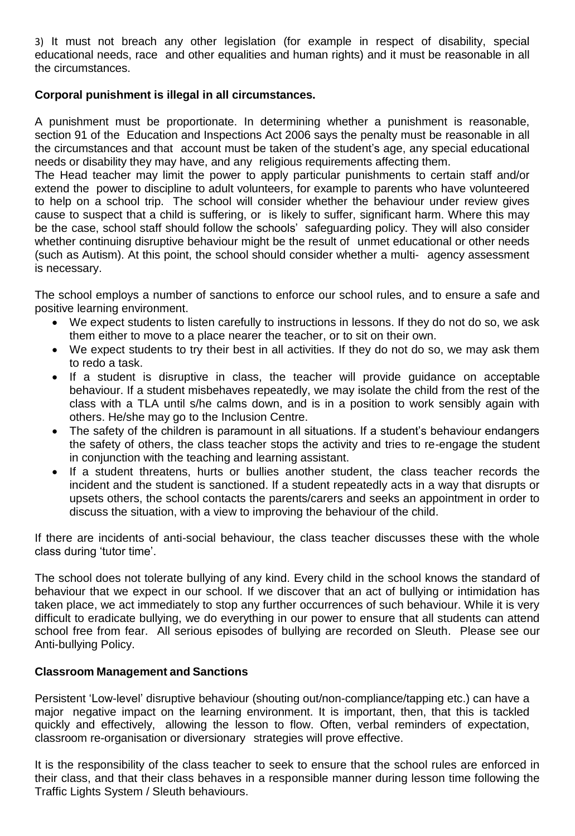3) It must not breach any other legislation (for example in respect of disability, special educational needs, race and other equalities and human rights) and it must be reasonable in all the circumstances.

# **Corporal punishment is illegal in all circumstances.**

A punishment must be proportionate. In determining whether a punishment is reasonable, section 91 of the Education and Inspections Act 2006 says the penalty must be reasonable in all the circumstances and that account must be taken of the student's age, any special educational needs or disability they may have, and any religious requirements affecting them.

The Head teacher may limit the power to apply particular punishments to certain staff and/or extend the power to discipline to adult volunteers, for example to parents who have volunteered to help on a school trip. The school will consider whether the behaviour under review gives cause to suspect that a child is suffering, or is likely to suffer, significant harm. Where this may be the case, school staff should follow the schools' safeguarding policy. They will also consider whether continuing disruptive behaviour might be the result of unmet educational or other needs (such as Autism). At this point, the school should consider whether a multi- agency assessment is necessary.

The school employs a number of sanctions to enforce our school rules, and to ensure a safe and positive learning environment.

- We expect students to listen carefully to instructions in lessons. If they do not do so, we ask them either to move to a place nearer the teacher, or to sit on their own.
- We expect students to try their best in all activities. If they do not do so, we may ask them to redo a task.
- If a student is disruptive in class, the teacher will provide quidance on acceptable behaviour. If a student misbehaves repeatedly, we may isolate the child from the rest of the class with a TLA until s/he calms down, and is in a position to work sensibly again with others. He/she may go to the Inclusion Centre.
- The safety of the children is paramount in all situations. If a student's behaviour endangers the safety of others, the class teacher stops the activity and tries to re-engage the student in conjunction with the teaching and learning assistant.
- If a student threatens, hurts or bullies another student, the class teacher records the incident and the student is sanctioned. If a student repeatedly acts in a way that disrupts or upsets others, the school contacts the parents/carers and seeks an appointment in order to discuss the situation, with a view to improving the behaviour of the child.

If there are incidents of anti-social behaviour, the class teacher discusses these with the whole class during 'tutor time'.

The school does not tolerate bullying of any kind. Every child in the school knows the standard of behaviour that we expect in our school. If we discover that an act of bullying or intimidation has taken place, we act immediately to stop any further occurrences of such behaviour. While it is very difficult to eradicate bullying, we do everything in our power to ensure that all students can attend school free from fear. All serious episodes of bullying are recorded on Sleuth. Please see our Anti-bullying Policy.

### **Classroom Management and Sanctions**

Persistent 'Low-level' disruptive behaviour (shouting out/non-compliance/tapping etc.) can have a major negative impact on the learning environment. It is important, then, that this is tackled quickly and effectively, allowing the lesson to flow. Often, verbal reminders of expectation, classroom re-organisation or diversionary strategies will prove effective.

It is the responsibility of the class teacher to seek to ensure that the school rules are enforced in their class, and that their class behaves in a responsible manner during lesson time following the Traffic Lights System / Sleuth behaviours.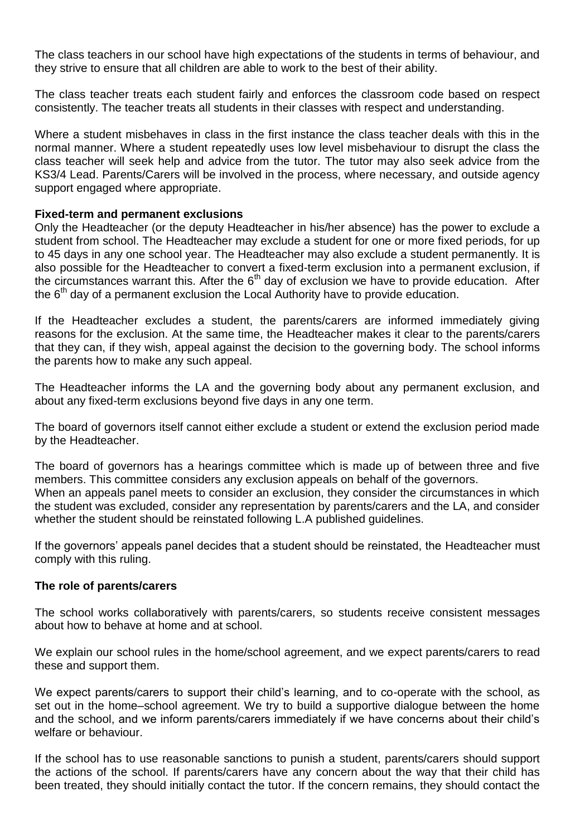The class teachers in our school have high expectations of the students in terms of behaviour, and they strive to ensure that all children are able to work to the best of their ability.

The class teacher treats each student fairly and enforces the classroom code based on respect consistently. The teacher treats all students in their classes with respect and understanding.

Where a student misbehaves in class in the first instance the class teacher deals with this in the normal manner. Where a student repeatedly uses low level misbehaviour to disrupt the class the class teacher will seek help and advice from the tutor. The tutor may also seek advice from the KS3/4 Lead. Parents/Carers will be involved in the process, where necessary, and outside agency support engaged where appropriate.

#### **Fixed-term and permanent exclusions**

Only the Headteacher (or the deputy Headteacher in his/her absence) has the power to exclude a student from school. The Headteacher may exclude a student for one or more fixed periods, for up to 45 days in any one school year. The Headteacher may also exclude a student permanently. It is also possible for the Headteacher to convert a fixed-term exclusion into a permanent exclusion, if the circumstances warrant this. After the  $6<sup>th</sup>$  day of exclusion we have to provide education. After the  $6<sup>th</sup>$  day of a permanent exclusion the Local Authority have to provide education.

If the Headteacher excludes a student, the parents/carers are informed immediately giving reasons for the exclusion. At the same time, the Headteacher makes it clear to the parents/carers that they can, if they wish, appeal against the decision to the governing body. The school informs the parents how to make any such appeal.

The Headteacher informs the LA and the governing body about any permanent exclusion, and about any fixed-term exclusions beyond five days in any one term.

The board of governors itself cannot either exclude a student or extend the exclusion period made by the Headteacher.

The board of governors has a hearings committee which is made up of between three and five members. This committee considers any exclusion appeals on behalf of the governors. When an appeals panel meets to consider an exclusion, they consider the circumstances in which the student was excluded, consider any representation by parents/carers and the LA, and consider whether the student should be reinstated following L.A published guidelines.

If the governors' appeals panel decides that a student should be reinstated, the Headteacher must comply with this ruling.

#### **The role of parents/carers**

The school works collaboratively with parents/carers, so students receive consistent messages about how to behave at home and at school.

We explain our school rules in the home/school agreement, and we expect parents/carers to read these and support them.

We expect parents/carers to support their child's learning, and to co-operate with the school, as set out in the home–school agreement. We try to build a supportive dialogue between the home and the school, and we inform parents/carers immediately if we have concerns about their child's welfare or behaviour.

If the school has to use reasonable sanctions to punish a student, parents/carers should support the actions of the school. If parents/carers have any concern about the way that their child has been treated, they should initially contact the tutor. If the concern remains, they should contact the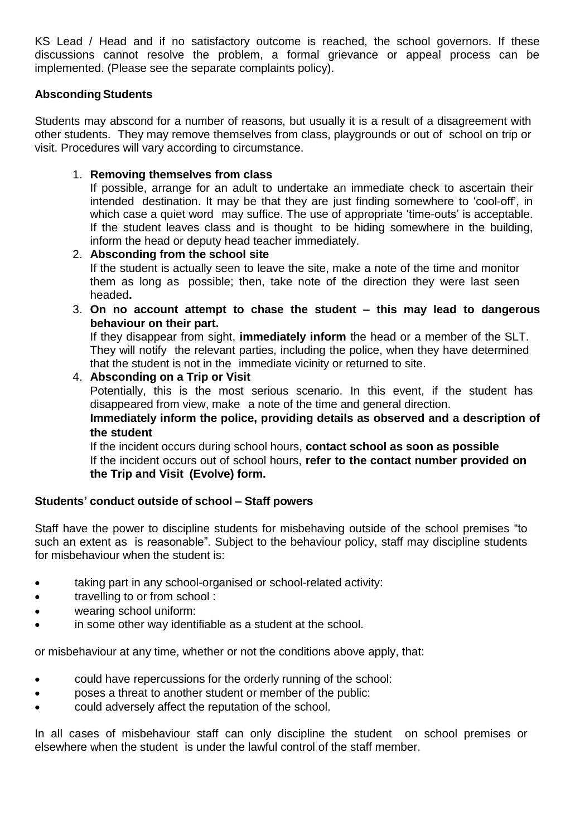KS Lead / Head and if no satisfactory outcome is reached, the school governors. If these discussions cannot resolve the problem, a formal grievance or appeal process can be implemented. (Please see the separate complaints policy).

### **AbscondingStudents**

Students may abscond for a number of reasons, but usually it is a result of a disagreement with other students. They may remove themselves from class, playgrounds or out of school on trip or visit. Procedures will vary according to circumstance.

1. **Removing themselves from class**

If possible, arrange for an adult to undertake an immediate check to ascertain their intended destination. It may be that they are just finding somewhere to 'cool-off', in which case a quiet word may suffice. The use of appropriate 'time-outs' is acceptable. If the student leaves class and is thought to be hiding somewhere in the building, inform the head or deputy head teacher immediately.

- 2. **Absconding from the school site** If the student is actually seen to leave the site, make a note of the time and monitor them as long as possible; then, take note of the direction they were last seen headed**.**
- 3. **On no account attempt to chase the student – this may lead to dangerous behaviour on their part.**

If they disappear from sight, **immediately inform** the head or a member of the SLT. They will notify the relevant parties, including the police, when they have determined that the student is not in the immediate vicinity or returned to site.

# 4. **Absconding on a Trip or Visit**

Potentially, this is the most serious scenario. In this event, if the student has disappeared from view, make a note of the time and general direction.

**Immediately inform the police, providing details as observed and a description of the student**

If the incident occurs during school hours, **contact school as soon as possible** If the incident occurs out of school hours, **refer to the contact number provided on the Trip and Visit (Evolve) form.** 

# **Students' conduct outside of school – Staff powers**

Staff have the power to discipline students for misbehaving outside of the school premises "to such an extent as is reasonable". Subject to the behaviour policy, staff may discipline students for misbehaviour when the student is:

- taking part in any school-organised or school-related activity:
- travelling to or from school :
- wearing school uniform:
- in some other way identifiable as a student at the school.

or misbehaviour at any time, whether or not the conditions above apply, that:

- could have repercussions for the orderly running of the school:
- poses a threat to another student or member of the public:
- could adversely affect the reputation of the school.

In all cases of misbehaviour staff can only discipline the student on school premises or elsewhere when the student is under the lawful control of the staff member.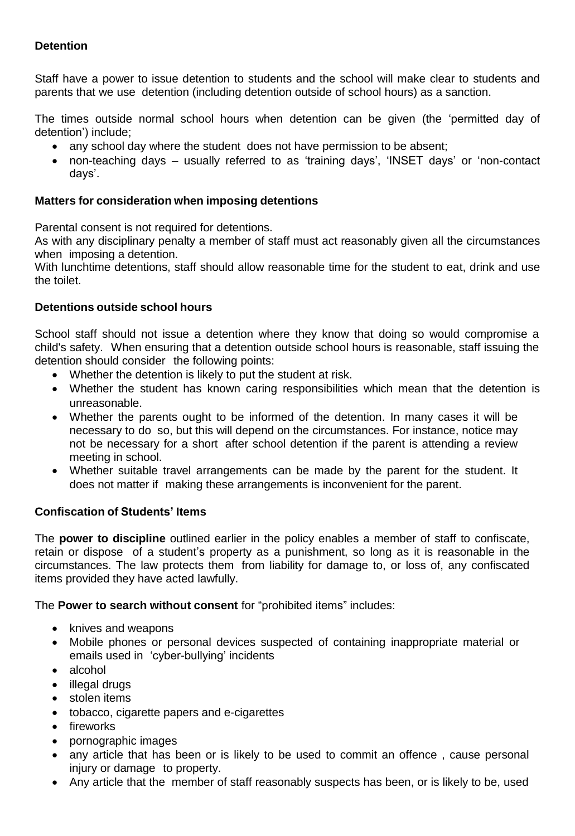# **Detention**

Staff have a power to issue detention to students and the school will make clear to students and parents that we use detention (including detention outside of school hours) as a sanction.

The times outside normal school hours when detention can be given (the 'permitted day of detention') include;

- any school day where the student does not have permission to be absent;
- non-teaching days usually referred to as 'training days', 'INSET days' or 'non-contact days'.

# **Matters for consideration when imposing detentions**

Parental consent is not required for detentions.

As with any disciplinary penalty a member of staff must act reasonably given all the circumstances when imposing a detention.

With lunchtime detentions, staff should allow reasonable time for the student to eat, drink and use the toilet.

# **Detentions outside school hours**

School staff should not issue a detention where they know that doing so would compromise a child's safety. When ensuring that a detention outside school hours is reasonable, staff issuing the detention should consider the following points:

- Whether the detention is likely to put the student at risk.
- Whether the student has known caring responsibilities which mean that the detention is unreasonable.
- Whether the parents ought to be informed of the detention. In many cases it will be necessary to do so, but this will depend on the circumstances. For instance, notice may not be necessary for a short after school detention if the parent is attending a review meeting in school.
- Whether suitable travel arrangements can be made by the parent for the student. It does not matter if making these arrangements is inconvenient for the parent.

### **Confiscation of Students' Items**

The **power to discipline** outlined earlier in the policy enables a member of staff to confiscate, retain or dispose of a student's property as a punishment, so long as it is reasonable in the circumstances. The law protects them from liability for damage to, or loss of, any confiscated items provided they have acted lawfully.

The **Power to search without consent** for "prohibited items" includes:

- knives and weapons
- Mobile phones or personal devices suspected of containing inappropriate material or emails used in 'cyber-bullying' incidents
- alcohol
- illegal drugs
- stolen items
- tobacco, cigarette papers and e-cigarettes
- fireworks
- pornographic images
- any article that has been or is likely to be used to commit an offence , cause personal injury or damage to property.
- Any article that the member of staff reasonably suspects has been, or is likely to be, used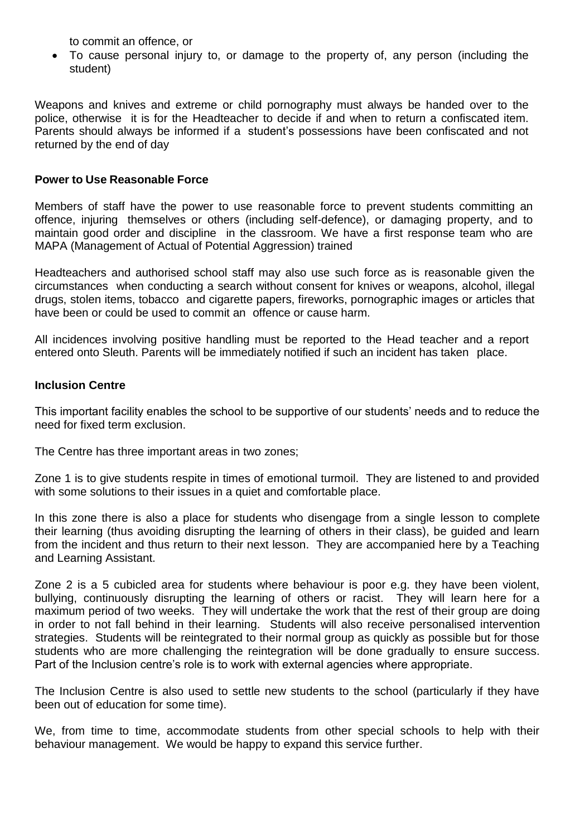to commit an offence, or

 To cause personal injury to, or damage to the property of, any person (including the student)

Weapons and knives and extreme or child pornography must always be handed over to the police, otherwise it is for the Headteacher to decide if and when to return a confiscated item. Parents should always be informed if a student's possessions have been confiscated and not returned by the end of day

### **Power to Use Reasonable Force**

Members of staff have the power to use reasonable force to prevent students committing an offence, injuring themselves or others (including self-defence), or damaging property, and to maintain good order and discipline in the classroom. We have a first response team who are MAPA (Management of Actual of Potential Aggression) trained

Headteachers and authorised school staff may also use such force as is reasonable given the circumstances when conducting a search without consent for knives or weapons, alcohol, illegal drugs, stolen items, tobacco and cigarette papers, fireworks, pornographic images or articles that have been or could be used to commit an offence or cause harm.

All incidences involving positive handling must be reported to the Head teacher and a report entered onto Sleuth. Parents will be immediately notified if such an incident has taken place.

#### **Inclusion Centre**

This important facility enables the school to be supportive of our students' needs and to reduce the need for fixed term exclusion.

The Centre has three important areas in two zones;

Zone 1 is to give students respite in times of emotional turmoil. They are listened to and provided with some solutions to their issues in a quiet and comfortable place.

In this zone there is also a place for students who disengage from a single lesson to complete their learning (thus avoiding disrupting the learning of others in their class), be guided and learn from the incident and thus return to their next lesson. They are accompanied here by a Teaching and Learning Assistant.

Zone 2 is a 5 cubicled area for students where behaviour is poor e.g. they have been violent, bullying, continuously disrupting the learning of others or racist. They will learn here for a maximum period of two weeks. They will undertake the work that the rest of their group are doing in order to not fall behind in their learning. Students will also receive personalised intervention strategies. Students will be reintegrated to their normal group as quickly as possible but for those students who are more challenging the reintegration will be done gradually to ensure success. Part of the Inclusion centre's role is to work with external agencies where appropriate.

The Inclusion Centre is also used to settle new students to the school (particularly if they have been out of education for some time).

We, from time to time, accommodate students from other special schools to help with their behaviour management. We would be happy to expand this service further.